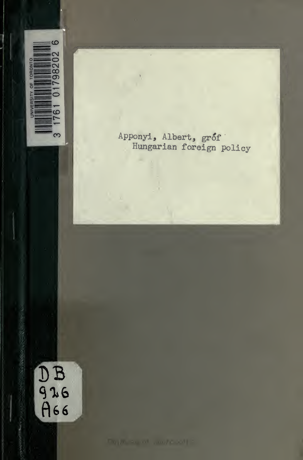

Apponyi, Albert, gróf<br>Hungarian foreign policy

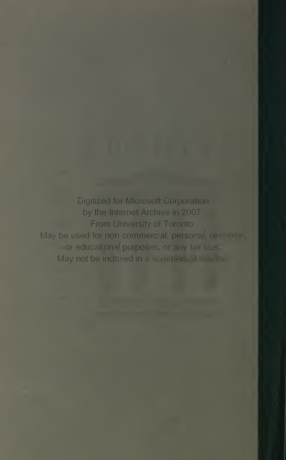Digitized for Microsoft Corporation by the Internet Archive in 2007 From University of Toronto May be used for non-commercial, personal, re-rench, or educational purposes, or any fair use. May not be indexed in a commercial service.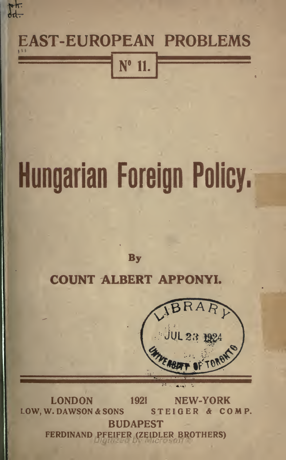

# **Hungarian Foreign Policy.**

By

### **COUNT ALBERT APPONYI.**



**LONDON** 1921 **NEW-YORK LOW. W. DAWSON & SONS** STEIGER & COMP. **BUDAPEST** FERDINAND PFEIFER (ZEIDLER BROTHERS)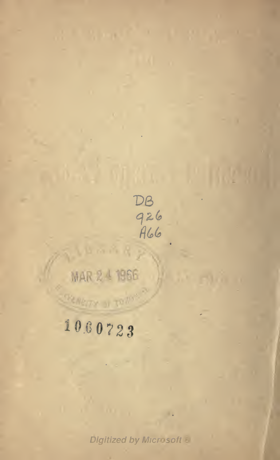DB<br>926<br>A66

MAR 24 1966

いいのの

10C0723

**PERCITY OF TOP** 

**Digitized by Microsoft D**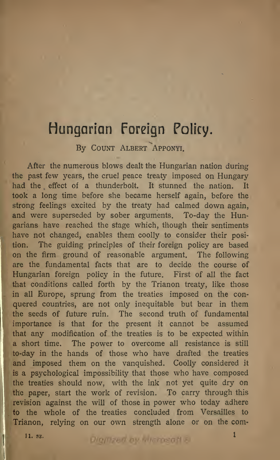# Hungarian Foreign Policy.

By Count Albert "Apponyi.

After the numerous blows dealt the Hungarian nation during the past few years, the cruel peace treaty imposed on Hungary had the effect of a thunderbolt. It stunned the nation. It took a long time before she became herself again, before the strong feelings excited by the treaty had calmed down again, and were superseded by sober arguments. To-day the Hungarians have reached the stage which, though their sentiments have not changed, enables them coolly to consider their position. The guiding principles of their foreign policy are based on the firm ground of reasonable argument. The following are the fundamental facts that are to decide the course of Hungarian foreign policy in the future. First of all the fact that conditions called forth by the Trianon treaty, like those in all Europe, sprung from the treaties imposed on the con quered countries, are not only inequitable but bear in them the seeds of future ruin. The second truth of fundamental importance is that for the present it cannot be assumed that any modification of the treaties is to be expected within <sup>a</sup> short time. The power to overcome all resistance is still to-day in the hands of those who have drafted the treaties and imposed them on the vanquished. Coolly considered it is <sup>a</sup> psychological impossibility that those who have composed the treaties should now, with the ink not yet quite dry on the paper, start the work of revision. To carry through this revision against the will of those in power who today adhere to the whole of the treaties concluded from Versailles to Trianon, relying on our own strength alone or on the com-

11. sz. **Digmized by Microsoft Bill**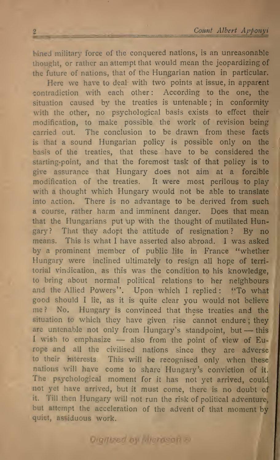bined military force of the conquered nations, is an unreasonable thought, or rather an attempt that would mean the jeopardizing of the future of nations, that of the Hungarian nation in particular.

Here we have to deal with two points at issue, in apparent contradiction with each other: According to the one, the situation caused by the treaties is untenable; in conformity with the other, no psychological basis exists to effect their modification, to make possible the work of revision being carried out. The conclusion to be drawn from these facts is that a sound Hungarian policy is possible only on the basis of the treaties, that these have to be considered the starting-point, and that the foremost task of that policy is to give assurance that Hungary does not aim at a forcible modification of the treaties. It were most perilous to play with a thought which Hungary would not be able to translate into action. There is no advantage to be derived from such a course, rather harm and imminent danger. Does that mean that the Hungarians put up with the thought of mutilated Hungary? That they adopt the attitude of resignation? By no means. This is what <sup>I</sup> have asserted also abroad. <sup>I</sup> was asked by <sup>a</sup> prominent member of public life in France "whether Hungary were inclined ultimately to resign all hope of territorial vindication, as this was the condition to his knowledge, to bring about normal political relations to her neighbours and the Allied Powers". Upon which I replied: "To what good should I lie, as it is quite clear you would not believe me? No. Hungary is convinced that these treaties and the situation to which they have given rise cannot endure; they arc untenable not only from Hungary's standpoint, but — this <sup>I</sup> wish to emphasize — also from the point of view of Europe and all the civilised nations since they are adverse to their interests. This will be recognised only when these nations will have come to share Hungary's conviction of it. The psychological moment for it has not yet arrived, could not yet have arrived, but it must come, there is no doubt of it. Till then Hungary will not run the risk of political adventure, but attempt the acceleration of the advent of that moment by quiet, assiduous work.

**Orgitzed by Meroson &**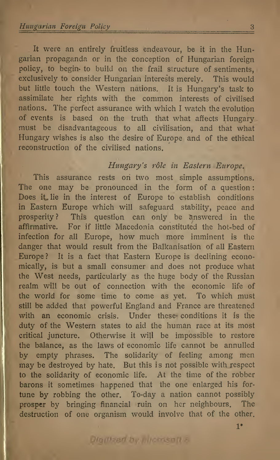It were an entirely fruitless endeavour, be it in the Hungarian propaganda or in the conception of Hungarian foreign policy, to begin- to build on the frail structure of sentiments, exclusively to consider Hungarian interests merely. This would but little touch the Western nations. It is Hungary's task to assimilate her rights with the common interests of civilised nations. The perfect assurance with which <sup>I</sup> watch the evolution of events is based on the truth that what affects Hungary must be disadvantageous to all civilisation, and that what Hungary wishes is also the desire of Europe and of the ethical reconstruction of the civilised nations.

#### Hungary's rôle in Eastern Europe.

*Hungary's rôle in Eastern Europe*.<br>This assurance rests on two most simple assumptions.<br>The one may be pronounced in the form of a question: The one may be pronounced in the form of <sup>a</sup> question : Does it. lie in the interest of Europe to establish conditions in Eastern Europe which will safeguard stability, peace and prosperity? This question can only be answered in the affirmative. For if little Macedonia constituted the hot-bed of infection for all Europe, how much more imminent is the danger that would result from the Balkanisation of all Eastern Europe ? It is a fact that Eastern Europe is declining economically, is but a small consumer and does not produce what the West needs, particularly as the huge body of the Russian realm will be out of connection with the economic life of the world for some time to come as yet. To which must still be added that powerful England and France are threatened with an economic crisis. Under these conditions it is the duty of the Western states to aid the human race at its most critical juncture. Otherwise it will be impossible to restore the balance, as the laws ot economic life cannot be annulled by empty phrases. The solidarity of feeling among men may be destroyed by hate. But this is not possible with respect to the solidarity of economic life. At the time of the robber barons it sometimes happened that the one enlarged his for tune by robbing the other. To-day <sup>a</sup> nation cannot possibly prosper by bringing financial ruin on her neighbours. The destruction of one organism would involve that of the other.

Dramsed by Allemann F

I.

 $1^*$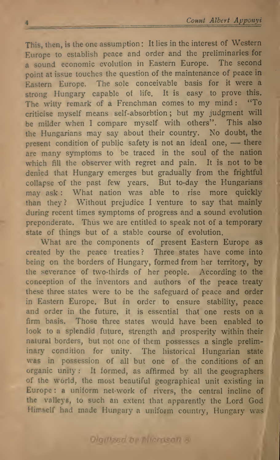This, then, is the one assumption : It lies in the interest of Western Europe to establish peace and order and the preliminaries for <sup>a</sup> sound economic evolution in Eastern Europe. The second point at issue touches the question of the maintenance of peace in Eastern Europe. The sole conceivable basis for it were a strong Hungary capable of life. It is easy to prove this.<br>The witty remark of a Frenchman comes to my mind: "To The witty remark of a Frenchman comes to my mind: criticise myself means self-absorbtion ; but my judgment will be milder when I compare myself with others". This also the Hungarians may say about their country. No doubt, the present condition of public safety is not an ideal one, — there are many symptoms to be traced in the soul of the nation which fill the observer with regret and pain. It is not to be denied that Hungary emerges but gradually from the frightful collapse of the past few years. But to-day the Hungarians may ask: What nation was able to rise more quickly than they? Without prejudice <sup>I</sup> venture to say that mainly during recent times symptoms of progress and a sound evolution preponderate. Thus we are entitled to speak not of <sup>a</sup> temporary state of things but of a stable course of evolution.

What are the components of present Eastern Europe as created by the peace treaties? Three states have come into being on the borders of Hungary, formed from her territory, by the severance of two-thirds of her people. According to the conception of the inventors and authors of the peace treaty these three states were to be the safeguard of peace and order in Eastern Europe. But in order to ensure stability, peace and order in the future, it is essential that one rests on a firm basis. Those three states would have been enabled to look to a splendid future, strength and prosperity within their natural borders, but not one of them possesses a single preliminary condition for unity. The historical Hungarian state was in possession of all but one of the conditions of an organic unity : It formed, as affirmed by all the geographers of the world, the most beautiful geographical unit existing in Europe : a uniform net-work of rivers, the central incline of the valleys, to such an extent that apparently the Lord God Himself had made Hungary a uniform country, Hungary was

**Digitized by Microson &**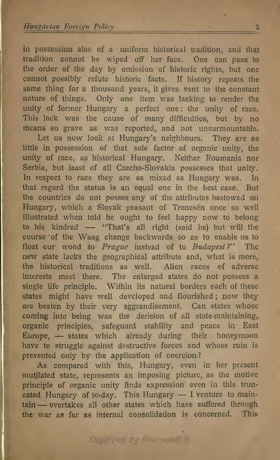in possession also of a uniform historical tradition, and that tradition cannot be wiped off her face. One can pass to the order of the day by omission of historic rights, but one cannot possibly refute historic facts. If history repeats the same thing for <sup>a</sup> thousand years, it gives vent to the constant nature of things. Only one item was lacking to render the unity of former Hungary a perfect one: the unity of race. This lack was the cause of many difficulties, but by no means so grave as was reported, and not unsurmountable.

Let us now look at Hungary's neighbours. They are as little in possession of that sole factor of organic unity, the unity of race, as historical Hungary. Neither Roumania nor Serbia, but least of all Czecho-Slovakia possesses that unity. In respect to race they are as mixed as Hungary was. In that regard the status is an equal one in the best case. But the countries do not posses any of the attributes bestowed on Hungary, which a Slovak peasant of Trencsén once so well illustrated when told he ought to feel happy now to belong to his kindred — "That's all right (said he) but will the course of the Waag change backwards so as to enable us to float our wood to *Prague* instead of to *Budapest*?" The new state lacks the geographical attribute and, what is more, the historical traditions as well. Alien races of adverse interests meet there. The enlarged states do not possess a single life principle. Within its natural borders each of these states might have well developed and flourished; now they are beaten by their very aggrandisement. Can states whose coming into being was the derision of all state-maintaining, organic principles, safeguard stability and peace in East Europe, — states which already during their honeymoon have to struggle against destructive forces and whose ruin is prevented only by the application of coercion?

As compared with this, Hungary, even in her present mutilated state, represents an imposing picture, as the motive principle of organic unity finds expression even in this trun-<br>cated Hungary of to-day. This Hungary — I ve As compared with' this, Hungary, even in her present mutilated state, represents an imposing picture, as the motive tain — overtakes all other states which have suffered through the war as far as internal consolidation is concerned. This

 $5\overline{a}$ 

Organzed by Microsoft (6)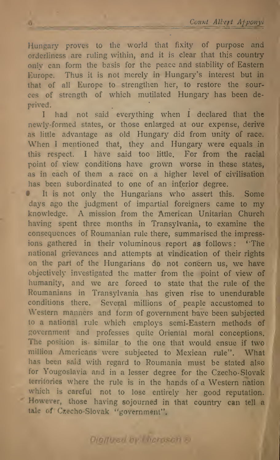Hungary proves to the world that fixity of purpose and orderliness are ruling within, and it is clear that this country only can form the basis for the peace and stability of Eastern Europe. Thus it is not merely in Hungary's interest but in that of all Europe to strengthen her, to restore the sources of strength of which mutilated Hungary has been deprived.

<sup>I</sup> had not said everything when <sup>I</sup> declared that the newly-formed states, or those enlarged at our expense, derive When I mentioned that, they and Hungary were equals in this respect. <sup>I</sup> have said too little. For from the racial point of view conditions have grown worse in these states, as in each of them a race on a higher level of civilisation has been subordinated to one of an inferior degree.

It is not only the Hungarians who assert this. Some days ago the judgment of impartial foreigners came to my knowledge. A mission from the American Unitarian Church having spent three months in Transylvania, to examine the consequences of Roumanian rule there, summarised the impressions gathered in their voluminous report as follows: 'The national grievances and attempts at vindication of their rights on the part of the Hungarians do not concern us, we have objectively investigated the matter from the point of view of humanity, and we are forced to state that the rule of the Roumanians in Transylvania has given rise to unendurable conditions there. Several millions of peaple accustomed to Western manners and form of government have been subjected to a national rule which employs semi-Eastern methods of government and professes quite Oriental moral conceptions. The position is similar to the one that would ensue if two million Americans were subjected to Mexican rule". What has been said with regard to Roumania must be stated also for Yougoslavia and in a lesser degree for the Czecho- Slovak territories where the rule is in the hands of a Western nation which is careful not to lose entirely her good reputation. However, those having sojourned in that country can tell <sup>a</sup> tale of Czecho-Slovak "government".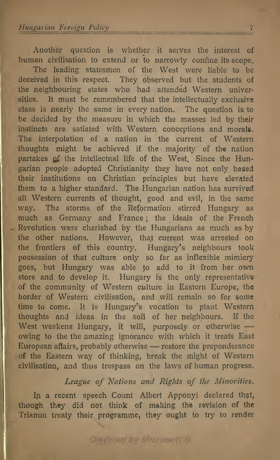Another question is whether it serves the interest of human civilisation to extend or to narrowly confine its scope. The leading statesmen of the West were liable to be deceived in this respect. They observed but the students of the neighbouring states who had attended Western universities. It must be remembered that the intellectually exclusive class is nearly the same in every nation. The question is to be decided by the measure in which the masses led by their instincts are satiated with Western conceptions and morals. The interpolation of a nation in the current of Western thoughts might be achieved if the majority of the nation partakes of the intellectnal life of the West. Since the Hungarian people adopted Christianity they have not only based their institutions on Christian principles but have elevated them to a higher standard. The Hungarian nation has survived all Western currents of thought, good and evil, in the same<br>way. The storms of the Reformation stirred Hungary as much as Germany and France; the ideals of the French Revolution were cherished by the Hungarians as much as by the other nations. However, that current was arrested on the frontiers of this country. Hungary's neighbours took possession of that culture only so far as inflexible mimicry goes, but Hungary was able to add to it from her own store and to develop it. Hungary is the only representative of the community of Western culture in Eastern Europe, the border of Western civilisation, and will remain so for some time to come. It is Hungary's vocation to plant Western thoughts and ideas in the soil of her neighbours. If the West weakens Hungary, it will, purposely or otherwise owing to the the amazing ignorance with which it treats East European affairs, probably otherwise - restore the preponderance of the Eastern way of thinking, break the might of Western civilisation, and thus trespass on the law^s of human progress.

#### League of 'Nations and Rights of the Minorities.

In a recent speech Count Albert Apponyi declared that, though they did not think of making the revision of the League of Nations and Rights of the Minorities.<br>In a recent speech Count Albert Apponyi declared that,<br>though they did not think of making the revision of the<br>Trianon treaty their programme, they ought to try to render Trianon treaty their programme, they ought to try to render

**Oromzed by Mercson 8.**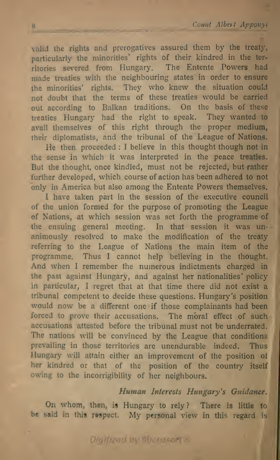valid the rights and prerogatives assured them by the treaty, particularly the minorities' rights of their kindred in the ter ritories severed from Hungary. The Entente Powers had made treaties with the neighbouring states in order to ensure the minorities' rights. They who knew the situation could not doubt that the terms of these treaties would be carried out according to Balkan traditions. On the basis of these treaties Hungary had the right to speak. They wanted to avail themselves of this right through the proper medium, their diplomatists, and the tribunal of the League of Nations.

He then proceeded : I believe in this thought though not in the sense in which it was interpreted in the peace treaties. But the thought, once kindled, must not be rejected, but rather further developed, which course of action has been adhered to not only in America but also among the Entente Powers themselves.

<sup>I</sup> have taken part in the session of the executive council of the union formed for the purpose of promoting the League of Nations, at which session was set forth the programme of the ensuing general meeting. In that session it was un animously resolved to make the modification of the treaty referring to the League of Nations the main item of the programme. Thus <sup>I</sup> cannot help believing in the thought. And when <sup>I</sup> remember the numerous indictments charged in the past against Hungary, and against her nationalities' policy in particular, <sup>I</sup> regret that at that time there did not exist a tribunal competent to decide these questions. Hungary's position would now be <sup>a</sup> different one if those complainants had been forced to prove their accusations. The moral effect of such accusations attested before the tribunal must not be underrated. The nations will be convinced by the League that conditions prevailing in those territories are unendurable indeed. Thus Hungary will attain either an improvement of the position of her kindred or that of the position of the country itself owing to the incorrigibility of her neighbours.

#### Human Interests Hungary's Guidance.

On whom, then, is Hungary to rely? There is little to be said in this respect. My personal view in this regard is

Digitized by Microsoft &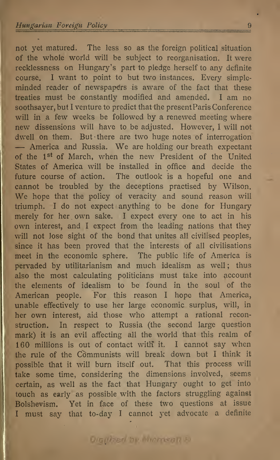not yet matured. The less so as the foreign political situation of the whole world will be subject to reorganisation. It were recklessness on Hungary's part to pledge herself to any definite course. <sup>I</sup> want to point to but two instances. Every simpleminded reader of newspapers is aware of the fact that these treaties must be constantly modified and amended. <sup>I</sup> am no soothsayer, but <sup>I</sup> venture to predict that the present Paris Conference will in a few weeks be followed by a renewed meeting where new dissensions will have to be adjusted. However, <sup>I</sup> will not dwell on them. But there are two huge notes of interrogation — America and Russia. We are holding our breath expectant of the 1<sup>st</sup> of March, when the new President of the United States of America will be installed in office and decide the future course of action. The outlook is a hopeful one and cannot be troubled by the deceptions practised by Wilson. We hope that the policy of veracity and sound reason will triumph. <sup>I</sup> do not expect anything to be done for Hungary merely for her own sake. I expect every one to act in his own interest, and <sup>I</sup> expect from the leading nations that they will not lose sight of the bond that unites all civilised peoples, since it has been proved that the interests of all civilisations meet in the economic sphere. The public life of America is pervaded by utilitarianism and much idealism as well; thus also the most calculating politicians must take into account the elements of idealism to be found in the soul of the American people. For this reason <sup>I</sup> hope that America, unable effectively to use her large economic surplus, will, in her own interest, aid those who attempt <sup>a</sup> rational reconstruction. In respect to Russia (the second large question mark) it is an evil affecting all the world that this realm of 160 millions is out of contact with it. I cannot say when the rule of the Communists will break down but <sup>I</sup> think it possible that it will burn itself out. That this process will take some time, considering the dimensions involved, seems certain, as well as the fact that Hungary ought to get into touch as early as possible with the factors struggling against Bolshevism. Yet in face of these two questions at issue I must say that to-day I cannot yet advocate a definite

Organized by Minimison Fi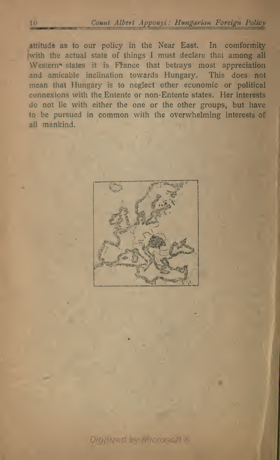attitude as to our policy in the Near East. In comformity with the actual state of things I must declare that among all Western<sup>s</sup> states it is Ffance that betrays most appreciation<br>and amicable inclination towards Hungary. This does not and amicable inclination towards Hungary. mean that Hungary is to neglect other economic or political connexions with the Entente or non-Entente states. Her interests do not lie with either the one or the other groups, but have to be pursued in common with the overwhelming interests of all mankind.



Digitized by Microson &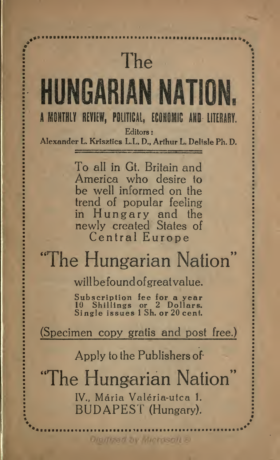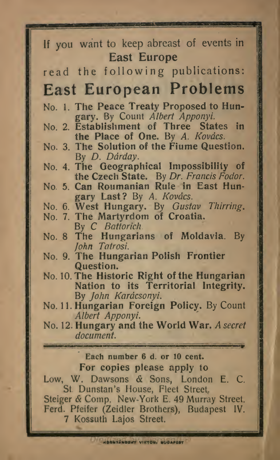| If you want to keep abreast of events in                                   |
|----------------------------------------------------------------------------|
| <b>East Europe</b>                                                         |
| read the following publications:                                           |
| East European Problems                                                     |
|                                                                            |
| No. 1. The Peace Treaty Proposed to Hun-                                   |
| gary. By Count Albert Apponyi.                                             |
| No. 2. Establishment of Three States in<br>the Place of One. By A. Kovács. |
| No. 3. The Solution of the Fiume Question.                                 |
| By D. Dárday.                                                              |
| No. 4. The Geographical Impossibility of                                   |
| the Czech State. By Dr. Francis Fodor.                                     |
| No. 5. Can Roumanian Rule in East Hun-                                     |
| gary Last? By A. Kovács.<br>No. 6. West Hungary. By Gustav Thirring.       |
| No. 7. The Martyrdom of Croatia.                                           |
| By C Battorich.                                                            |
| No. 8 The Hungarians of Moldavia. By                                       |
| John Tatrosi.                                                              |
| No. 9. The Hungarian Polish Frontier<br>Question.                          |
| No. 10. The Historic Right of the Hungarian                                |
| Nation to its Territorial Integrity.                                       |
| By John Karácsonyi.                                                        |
| No. 11. Hungarian Foreign Policy. By Count                                 |
| Albert Apponyi.<br>No. 12. Hungary and the World War. A secret             |
| document.                                                                  |
|                                                                            |
| Each number 6 d. or 10 cent.                                               |
| For copies please apply to                                                 |
| Low, W. Dawsons & Sons, London E. C.                                       |
| St. Dunstan's House, Fleet Street.                                         |
| Steiger & Comp. New-York E. 49 Murray Street.                              |
| Ferd. Pfeifer (Zeidler Brothers), Budapest IV.<br>7 Kossuth Lajos Street.  |
|                                                                            |

H9NWYAWDSWY VIKTOW, BUDAPEDT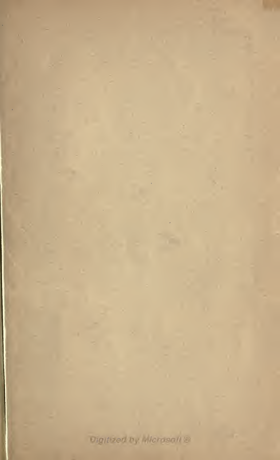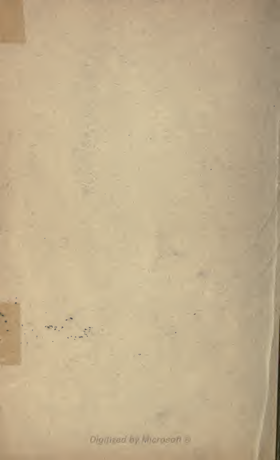Digitized by Microsoft &

 $\mathbb{R}^{\frac{1}{2}}$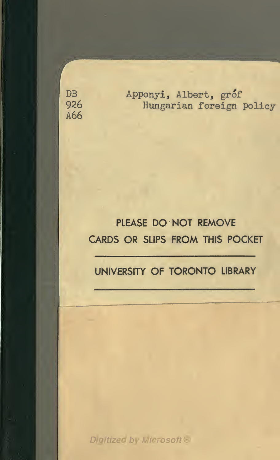Apponyi, Albert, gróf Hungarian foreign policy

DB 926 A66

## PLEASE DO NOT REMOVE CARDS OR SLIPS FROM THIS POCKET

#### UNIVERSITY OF TORONTO LIBRARY

**Digitized by Microsoft®**